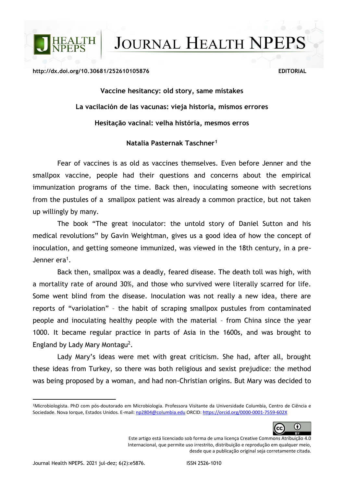**JOURNAL HEALTH NPEPS** 

## **http://dx.doi.org/10.30681/252610105876 EDITORIAL**

**LTH** 

**Vaccine hesitancy: old story, same mistakes La vacilación de las vacunas: vieja historia, mismos errores Hesitação vacinal: velha história, mesmos erros**

## **Natalia Pasternak Taschner<sup>1</sup>**

Fear of vaccines is as old as vaccines themselves. Even before Jenner and the smallpox vaccine, people had their questions and concerns about the empirical immunization programs of the time. Back then, inoculating someone with secretions from the pustules of a smallpox patient was already a common practice, but not taken up willingly by many.

The book "The great inoculator: the untold story of Daniel Sutton and his medical revolutions" by Gavin Weightman, gives us a good idea of how the concept of inoculation, and getting someone immunized, was viewed in the 18th century, in a pre-Jenner era<sup>1</sup>.

Back then, smallpox was a deadly, feared disease. The death toll was high, with a mortality rate of around 30%, and those who survived were literally scarred for life. Some went blind from the disease. Inoculation was not really a new idea, there are reports of "variolation" – the habit of scraping smallpox pustules from contaminated people and inoculating healthy people with the material – from China since the year 1000. It became regular practice in parts of Asia in the 1600s, and was brought to England by Lady Mary Montagu<sup>2</sup>.

Lady Mary's ideas were met with great criticism. She had, after all, brought these ideas from Turkey, so there was both religious and sexist prejudice: the method was being proposed by a woman, and had non-Christian origins. But Mary was decided to

<sup>1</sup>Microbiologista. PhD com pós-doutorado em Microbiologia. Professora Visitante da Universidade Columbia, Centro de Ciência e Sociedade. Nova Iorque, Estados Unidos. E-mail[: np2804@columbia.edu](mailto:np2804@columbia.edu) ORCID[: https://orcid.org/0000-0001-7559-602X](https://orcid.org/0000-0001-7559-602X) 



Este artigo está licenciado sob forma de uma licença Creative Commons Atribuição 4.0 Internacional, que permite uso irrestrito, distribuição e reprodução em qualquer meio, desde que a publicação original seja corretamente citada.

l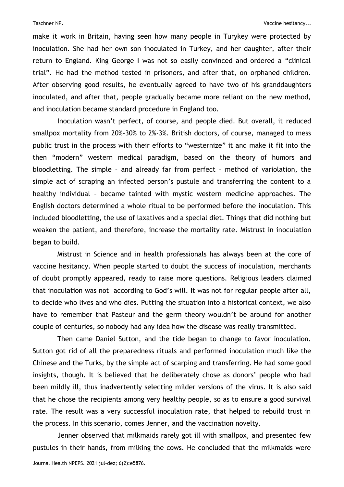make it work in Britain, having seen how many people in Turykey were protected by inoculation. She had her own son inoculated in Turkey, and her daughter, after their return to England. King George I was not so easily convinced and ordered a "clinical trial". He had the method tested in prisoners, and after that, on orphaned children. After observing good results, he eventually agreed to have two of his granddaughters inoculated, and after that, people gradually became more reliant on the new method, and inoculation became standard procedure in England too.

Inoculation wasn't perfect, of course, and people died. But overall, it reduced smallpox mortality from 20%-30% to 2%-3%. British doctors, of course, managed to mess public trust in the process with their efforts to "westernize" it and make it fit into the then "modern" western medical paradigm, based on the theory of humors and bloodletting. The simple – and already far from perfect – method of variolation, the simple act of scraping an infected person's pustule and transferring the content to a healthy individual – became tainted with mystic western medicine approaches. The English doctors determined a whole ritual to be performed before the inoculation. This included bloodletting, the use of laxatives and a special diet. Things that did nothing but weaken the patient, and therefore, increase the mortality rate. Mistrust in inoculation began to build.

Mistrust in Science and in health professionals has always been at the core of vaccine hesitancy. When people started to doubt the success of inoculation, merchants of doubt promptly appeared, ready to raise more questions. Religious leaders claimed that inoculation was not according to God's will. It was not for regular people after all, to decide who lives and who dies. Putting the situation into a historical context, we also have to remember that Pasteur and the germ theory wouldn't be around for another couple of centuries, so nobody had any idea how the disease was really transmitted.

Then came Daniel Sutton, and the tide began to change to favor inoculation. Sutton got rid of all the preparedness rituals and performed inoculation much like the Chinese and the Turks, by the simple act of scarping and transferring. He had some good insights, though. It is believed that he deliberately chose as donors' people who had been mildly ill, thus inadvertently selecting milder versions of the virus. It is also said that he chose the recipients among very healthy people, so as to ensure a good survival rate. The result was a very successful inoculation rate, that helped to rebuild trust in the process. In this scenario, comes Jenner, and the vaccination novelty.

Jenner observed that milkmaids rarely got ill with smallpox, and presented few pustules in their hands, from milking the cows. He concluded that the milkmaids were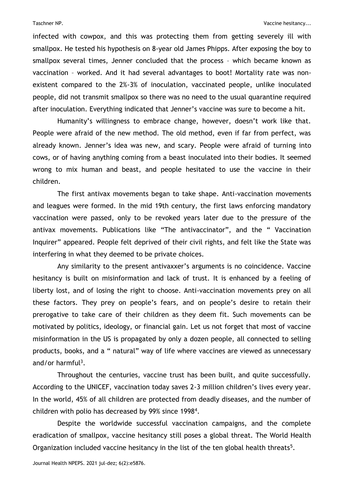infected with cowpox, and this was protecting them from getting severely ill with smallpox. He tested his hypothesis on 8-year old James Phipps. After exposing the boy to smallpox several times, Jenner concluded that the process – which became known as vaccination – worked. And it had several advantages to boot! Mortality rate was nonexistent compared to the 2%-3% of inoculation, vaccinated people, unlike inoculated people, did not transmit smallpox so there was no need to the usual quarantine required after inoculation. Everything indicated that Jenner's vaccine was sure to become a hit.

Humanity's willingness to embrace change, however, doesn't work like that. People were afraid of the new method. The old method, even if far from perfect, was already known. Jenner's idea was new, and scary. People were afraid of turning into cows, or of having anything coming from a beast inoculated into their bodies. It seemed wrong to mix human and beast, and people hesitated to use the vaccine in their children.

The first antivax movements began to take shape. Anti-vaccination movements and leagues were formed. In the mid 19th century, the first laws enforcing mandatory vaccination were passed, only to be revoked years later due to the pressure of the antivax movements. Publications like "The antivaccinator", and the " Vaccination Inquirer" appeared. People felt deprived of their civil rights, and felt like the State was interfering in what they deemed to be private choices.

Any similarity to the present antivaxxer's arguments is no coincidence. Vaccine hesitancy is built on misinformation and lack of trust. It is enhanced by a feeling of liberty lost, and of losing the right to choose. Anti-vaccination movements prey on all these factors. They prey on people's fears, and on people's desire to retain their prerogative to take care of their children as they deem fit. Such movements can be motivated by politics, ideology, or financial gain. Let us not forget that most of vaccine misinformation in the US is propagated by only a dozen people, all connected to selling products, books, and a " natural" way of life where vaccines are viewed as unnecessary and/or harmful<sup>3</sup>.

Throughout the centuries, vaccine trust has been built, and quite successfully. According to the UNICEF, vaccination today saves 2-3 million children's lives every year. In the world, 45% of all children are protected from deadly diseases, and the number of children with polio has decreased by 99% since 1998<sup>4</sup> .

Despite the worldwide successful vaccination campaigns, and the complete eradication of smallpox, vaccine hesitancy still poses a global threat. The World Health Organization included vaccine hesitancy in the list of the ten global health threats<sup>5</sup>.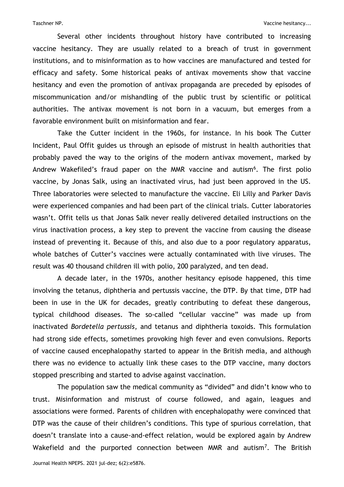Several other incidents throughout history have contributed to increasing vaccine hesitancy. They are usually related to a breach of trust in government institutions, and to misinformation as to how vaccines are manufactured and tested for efficacy and safety. Some historical peaks of antivax movements show that vaccine hesitancy and even the promotion of antivax propaganda are preceded by episodes of miscommunication and/or mishandling of the public trust by scientific or political authorities. The antivax movement is not born in a vacuum, but emerges from a favorable environment built on misinformation and fear.

Take the Cutter incident in the 1960s, for instance. In his book The Cutter Incident, Paul Offit guides us through an episode of mistrust in health authorities that probably paved the way to the origins of the modern antivax movement, marked by Andrew Wakefiled's fraud paper on the MMR vaccine and autism<sup>6</sup>. The first polio vaccine, by Jonas Salk, using an inactivated virus, had just been approved in the US. Three laboratories were selected to manufacture the vaccine. Eli Lilly and Parker Davis were experienced companies and had been part of the clinical trials. Cutter laboratories wasn't. Offit tells us that Jonas Salk never really delivered detailed instructions on the virus inactivation process, a key step to prevent the vaccine from causing the disease instead of preventing it. Because of this, and also due to a poor regulatory apparatus, whole batches of Cutter's vaccines were actually contaminated with live viruses. The result was 40 thousand children ill with polio, 200 paralyzed, and ten dead.

A decade later, in the 1970s, another hesitancy episode happened, this time involving the tetanus, diphtheria and pertussis vaccine, the DTP. By that time, DTP had been in use in the UK for decades, greatly contributing to defeat these dangerous, typical childhood diseases. The so-called "cellular vaccine" was made up from inactivated *Bordetella pertussis*, and tetanus and diphtheria toxoids. This formulation had strong side effects, sometimes provoking high fever and even convulsions. Reports of vaccine caused encephalopathy started to appear in the British media, and although there was no evidence to actually link these cases to the DTP vaccine, many doctors stopped prescribing and started to advise against vaccination.

The population saw the medical community as "divided" and didn't know who to trust. Misinformation and mistrust of course followed, and again, leagues and associations were formed. Parents of children with encephalopathy were convinced that DTP was the cause of their children's conditions. This type of spurious correlation, that doesn't translate into a cause-and-effect relation, would be explored again by Andrew Wakefield and the purported connection between MMR and autism<sup>7</sup>. The British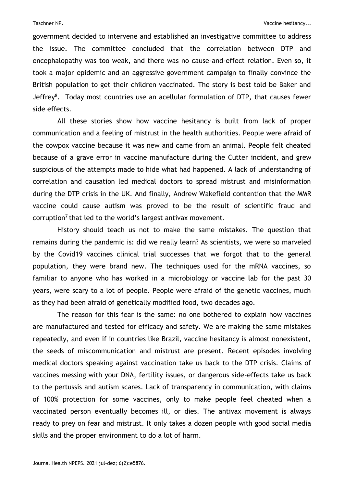government decided to intervene and established an investigative committee to address the issue. The committee concluded that the correlation between DTP and encephalopathy was too weak, and there was no cause-and-effect relation. Even so, it took a major epidemic and an aggressive government campaign to finally convince the British population to get their children vaccinated. The story is best told be Baker and Jeffrey<sup>8</sup>. Today most countries use an acellular formulation of DTP, that causes fewer side effects.

All these stories show how vaccine hesitancy is built from lack of proper communication and a feeling of mistrust in the health authorities. People were afraid of the cowpox vaccine because it was new and came from an animal. People felt cheated because of a grave error in vaccine manufacture during the Cutter incident, and grew suspicious of the attempts made to hide what had happened. A lack of understanding of correlation and causation led medical doctors to spread mistrust and misinformation during the DTP crisis in the UK. And finally, Andrew Wakefield contention that the MMR vaccine could cause autism was proved to be the result of scientific fraud and corruption<sup>7</sup> that led to the world's largest antivax movement.

History should teach us not to make the same mistakes. The question that remains during the pandemic is: did we really learn? As scientists, we were so marveled by the Covid19 vaccines clinical trial successes that we forgot that to the general population, they were brand new. The techniques used for the mRNA vaccines, so familiar to anyone who has worked in a microbiology or vaccine lab for the past 30 years, were scary to a lot of people. People were afraid of the genetic vaccines, much as they had been afraid of genetically modified food, two decades ago.

The reason for this fear is the same: no one bothered to explain how vaccines are manufactured and tested for efficacy and safety. We are making the same mistakes repeatedly, and even if in countries like Brazil, vaccine hesitancy is almost nonexistent, the seeds of miscommunication and mistrust are present. Recent episodes involving medical doctors speaking against vaccination take us back to the DTP crisis. Claims of vaccines messing with your DNA, fertility issues, or dangerous side-effects take us back to the pertussis and autism scares. Lack of transparency in communication, with claims of 100% protection for some vaccines, only to make people feel cheated when a vaccinated person eventually becomes ill, or dies. The antivax movement is always ready to prey on fear and mistrust. It only takes a dozen people with good social media skills and the proper environment to do a lot of harm.